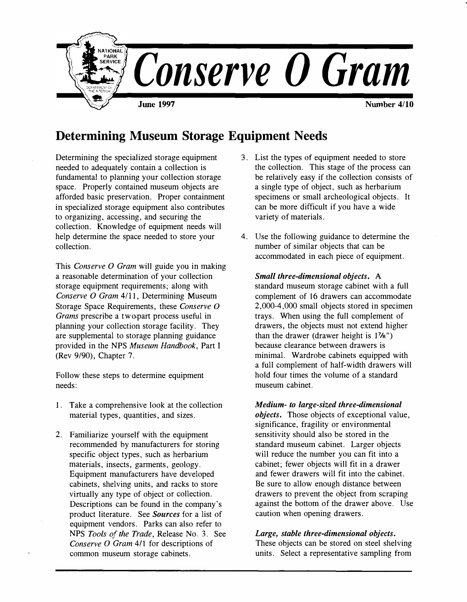

# **Determining Museum Storage Equipment Needs**

Determining the specialized storage equipment needed to adequately contain a collection is fundamental to planning your collection storage space. Properly contained museum objects are afforded basic preservation. Proper containment in specialized storage equipment also contributes to organizing, accessing, and securing the collection. Knowledge of equipment needs will help determine the space needed to store your collection.

This *Conserve O Gram* will guide you in making a reasonable determination of your collection storage equipment requirements; along with *Conserve O Gram* 4/11, Determining Museum Storage Space Requirements, these *Conserve 0 Grams* prescribe a two-part process useful in planning your collection storage facility. They are supplemental to storage planning guidance provided in the NPS *Museum Handbook,* Part I (Rev 9/90), Chapter 7.

Follow these steps to determine equipment needs:

- 1. Take a comprehensive look at the collection material types, quantities, and sizes.
- 2. Familiarize yourself with the equipment recommended by manufacturers for storing specific object types, such as herbarium materials, insects, garments, geology. Equipment manufacturers have developed cabinets, shelving units, and racks to store virtually any type of object or collection. Descriptions can be found in the company's product literature. See *Sources* for a list of equipment vendors. Parks can also refer to NPS *Tools of the Trade,* Release No. 3. See *Conserve O Gram 411* for descriptions of common museum storage cabinets.
- 3. List the types of equipment needed to store the collection. This stage of the process can be relatively easy if the collection consists of a single type of object, such as herbarium specimens or small archeological objects. It can be more difficult if you have a wide variety of materials.
- 4. Use the following guidance to determine the number of similar objects that can be accommodated in each piece of equipment.

*Small three-dimensional objects.* A standard museum storage cabinet with a full complement of 16 drawers can accommodate 2,000-4,000 small objects stored in specimen trays. When using the full complement of drawers, the objects must not extend higher than the drawer (drawer height is 1 **<sup>7</sup>**/s") because clearance between drawers is minimal. Wardrobe cabinets equipped with a full complement of half-width drawers will hold four times the volume of a standard museum cabinet.

*Medium- to large-sized three-dimensional objects.* Those objects of exceptional value, significance, fragility or environmental sensitivity should also be stored in the standard museum cabinet. Larger objects will reduce the number you can fit into a cabinet; fewer objects will fit in a drawer and fewer drawers will fit into the cabinet. Be sure to allow enough distance between drawers to prevent the object from scraping against the bottom of the drawer above. Use caution when opening drawers.

#### *Large, stable three-dimensional objects.*

These objects can be stored on steel shelving units. Select a representative sampling from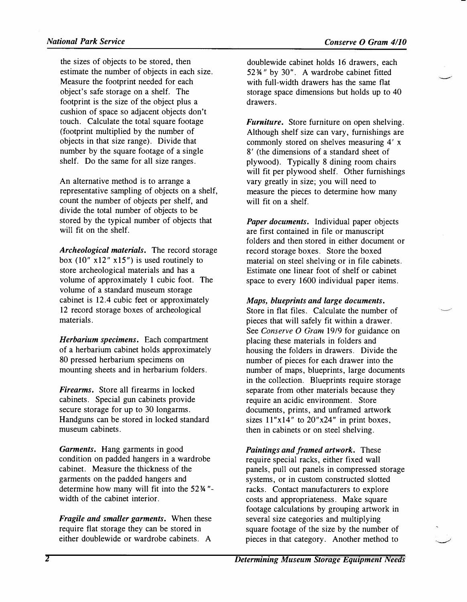*the sizes of objects to be stored, then estimate the number of objects in each size. Measure the footprint needed for each object's safe storage on a shelf. The footprint is the size of the object plus a cushion of space so adjacent objects don't touch. Calculate the total square footage (footprint multiplied by the number of objects in that size range). Divide that number by the square footage of a single shelf. Do the same for all size ranges.* 

*An alternative method is to arrange a representative sampling of objects on a shelf, count the number of objects per shelf, and divide the total number of objects to be stored by the typical number of objects that will fit on the shelf.* 

*Archeological materials. The record storage*  box  $(10'' \times 12'' \times 15'')$  is used routinely to *store archeological materials and has a volume of approximately 1 cubic foot. The volume of a standard museum storage cabinet is 12.4 cubic feet or approximately 12 record storage boxes of archeological materials.* 

*Herbarium specimens. Each compartment of a herbarium cabinet holds approximately 80 pressed herbarium specimens on mounting sheets and in herbarium folders.* 

*Firearms. Store all firearms in locked cabinets. Special gun cabinets provide secure storage for up to 30 longarms. Handguns can be stored in locked standard museum cabinets.* 

*Garments. Hang garments in good condition on padded hangers in a wardrobe cabinet. Measure the thickness of the garments on the padded hangers and determine how many will fit into the 52 ¾ " width of the cabinet interior.* 

*Fragile and smaller garments. When these require flat storage they can be stored in either doublewide or wardrobe cabinets. A* 

*doublewide cabinet holds 16 drawers, each 52¾ 11 by 30". A wardrobe cabinet fitted with full-width drawers has the same flat storage space dimensions but holds up to 40 drawers.* 

*Furniture. Store furniture on open shelving. Although shelf size can vary, furnishings are commonly stored on shelves measuring 4' x 8* <sup>1</sup>*(the dimensions of a standard sheet of plywood). Typically 8 dining room chairs will fit per plywood shelf. Other furnishings vary greatly in size; you will need to measure the pieces to determine how many will fit on a shelf.* 

*Paper documents. Individual paper objects are first contained in file or manuscript folders and then stored in either document or record storage boxes. Store the boxed material on steel shelving or in file cabinets. Estimate one linear foot of shelf or cabinet space to every 1600 individual paper items.* 

*Maps, blueprints and large documents. Store in flat files. Calculate the number of pieces that will safely fit within a drawer. See Conserve O Gram 19/9 for guidance on placing these materials in folders and housing the folders in drawers. Divide the number of pieces for each drawer into the number of maps, blueprints, large documents in the collection. Blueprints require storage separate from other materials because they require an acidic environment. Store documents, prints, and unframed artwork sizes 11 "x14" to 20"x24" in print boxes, then in cabinets or on steel shelving.* 

*Paintings and framed artwork. These require special racks, either fixed wall panels, pull out panels in compressed storage systems, or in custom constructed slotted racks. Contact manufacturers to explore costs and appropriateness. Make square footage calculations by grouping artwork in several size categories and multiplying square footage of the size by the number of pieces in that category. Another method to*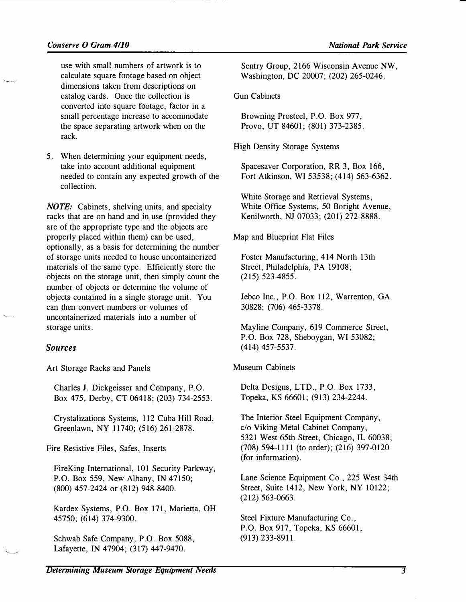$\overline{\phantom{a}}$ 

 $\overline{\phantom{0}}$ 

*use with small numbers of artwork is to calculate square footage based on object dimensions taken from descriptions on catalog cards. Once the collection is converted into square footage, factor in a small percentage increase to accommodate the space separating artwork when on the rack.* 

*5. When determining your equipment needs, take into account additional equipment needed to contain any expected growth of the collection.* 

*NOTE: Cabinets, shelving units, and specialty racks that are on hand and in use (provided they are of the appropriate type and the objects are properly placed within them) can be used, optionally, as a basis for determining the number of storage units needed to house uncontainerized materials of the same type. Efficiently store the objects on the storage unit, then simply count the number of objects or determine the volume of objects contained in a single storage unit. You can then convert numbers or volumes of uncontainerized materials into a number of storage units.* 

## *Sources*

*Art Storage Racks and Panels* 

*Charles J. Dickgeisser and Company, P.O. Box 475, Derby, CT 06418; (203) 734-2553.* 

*Crystalizations Systems, 112 Cuba* **Hill** *Road, Greenlawn, NY 11740; (516) 261-2878.* 

*Fire Resistive Files, Safes, Inserts* 

*FireKing International, 101 Security Parkway, P.O. Box 559, New Albany, IN 47150; (800) 457-2424 or (812) 948-8400.* 

*Kardex Systems, P.O. Box 171, Marietta, OH 45750; (614) 374-9300.* 

*Schwab Safe Company, P.O. Box 5088, Lafayette, IN 47904; (317) 447-9470.* 

*Sentry Group, 2166 Wisconsin Avenue NW, Washington, DC 20007; (202) 265-0246.* 

## *Gun Cabinets*

*Browning Prosteel, P.O. Box 977, Provo, UT 84601; (801) 373-2385.* 

*High Density Storage Systems* 

*Spacesaver Corporation, RR 3, Box 166, Fort Atkinson, WI 53538; (414) 563-6362.* 

*White Storage and Retrieval Systems, White Office Systems, 50 Boright Avenue, Kenilworth, NJ 07033; (201) 272-8888.* 

*Map and Blueprint Flat Files* 

*Foster Manufacturing, 414 North 13th Street, Philadelphia, PA 19108; (215) 523-4855.* 

*Jebco Inc., P.O. Box 112, Warrenton, GA 30828; (706) 465-3378.* 

*Mayline Company, 619 Commerce Street, P.O. Box 728, Sheboygan, WI 53082; (414) 457-5537.* 

#### *Museum Cabinets*

*Delta Designs, LTD., P.O. Box 1733, Topeka, KS 66601; (913) 234-2244.* 

*The Interior Steel Equipment Company, c/o Viking Metal Cabinet Company, 5321 West 65th Street, Chicago, IL 60038; (708) 594 1111 (to order); (216) 397-0120 (for information).* 

*Lane Science Equipment Co., 225 West 34th Street, Suite 1412, New York, NY 10122; (212) 563-0663.* 

*Steel Fixture Manufacturing Co., P.O. Box 917, Topeka, KS 66601; (913) 233-8911.*